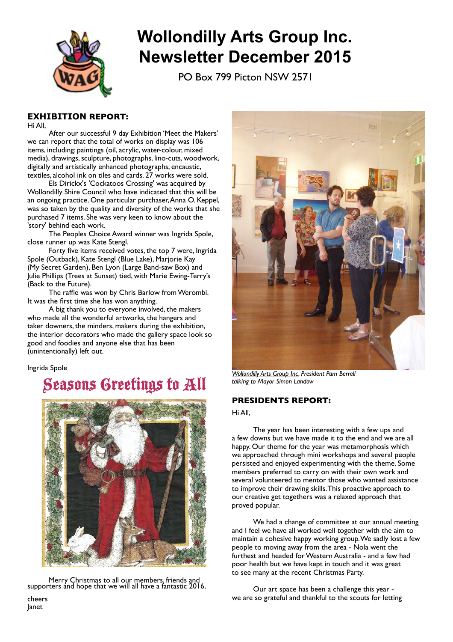

# **Wollondilly Arts Group Inc. Newsletter December 2015**

PO Box 799 Picton NSW 2571

# **EXHIBITION REPORT:**

Hi All,

After our successful 9 day Exhibition 'Meet the Makers' we can report that the total of works on display was 106 items, including: paintings (oil, acrylic, water-colour, mixed media), drawings, sculpture, photographs, lino-cuts, woodwork, digitally and artistically enhanced photographs, encaustic, textiles, alcohol ink on tiles and cards. 27 works were sold.

Els Dirickx's 'Cockatoos Crossing' was acquired by Wollondilly Shire Council who have indicated that this will be an ongoing practice. One particular purchaser,Anna O. Keppel, was so taken by the quality and diversity of the works that she purchased 7 items. She was very keen to know about the 'story' behind each work.

The Peoples Choice Award winner was Ingrida Spole, close runner up was Kate Stengl.

Forty five items received votes, the top 7 were, Ingrida Spole (Outback), Kate Stengl (Blue Lake), Marjorie Kay (My Secret Garden), Ben Lyon (Large Band-saw Box) and Julie Phillips (Trees at Sunset) tied, with Marie Ewing-Terry's (Back to the Future).

The raffle was won by Chris Barlow from Werombi. It was the first time she has won anything.

A big thank you to everyone involved, the makers who made all the wonderful artworks, the hangers and taker downers, the minders, makers during the exhibition, the interior decorators who made the gallery space look so good and foodies and anyone else that has been (unintentionally) left out.

Ingrida Spole

# Seasons Greetings to All



Merry Christmas to all our members, friends and supporters and hope that we will all have a fantastic 2016,



*[Wollondilly Arts Group Inc.](https://www.facebook.com/wollarts/) President Pam Berrell talking to Mayor Simon Landow*

## **PRESIDENTS REPORT:**

Hi All,

The year has been interesting with a few ups and a few downs but we have made it to the end and we are all happy. Our theme for the year was metamorphosis which we approached through mini workshops and several people persisted and enjoyed experimenting with the theme. Some members preferred to carry on with their own work and several volunteered to mentor those who wanted assistance to improve their drawing skills.This proactive approach to our creative get togethers was a relaxed approach that proved popular.

We had a change of committee at our annual meeting and I feel we have all worked well together with the aim to maintain a cohesive happy working group.We sadly lost a few people to moving away from the area - Nola went the furthest and headed for Western Australia - and a few had poor health but we have kept in touch and it was great to see many at the recent Christmas Party.

Our art space has been a challenge this year we are so grateful and thankful to the scouts for letting